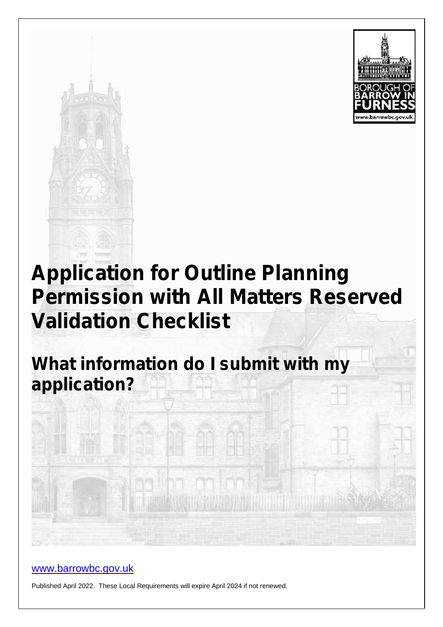



# **Application for Outline Planning Permission with All Matters Reserved Validation Checklist**

**What information do I submit with my application?**

### www.barrowbc.gov.uk

Published April 2022. These Local Requirements will expire April 2024 if not renewed.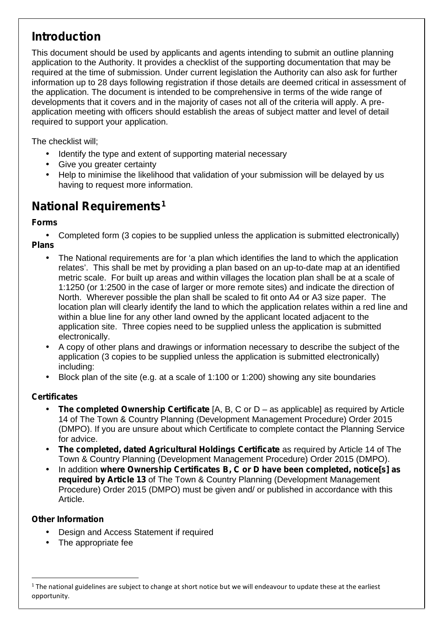# **Introduction**

This document should be used by applicants and agents intending to submit an outline planning application to the Authority. It provides a checklist of the supporting documentation that may be required at the time of submission. Under current legislation the Authority can also ask for further information up to 28 days following registration if those details are deemed critical in assessment of the application. The document is intended to be comprehensive in terms of the wide range of developments that it covers and in the majority of cases not all of the criteria will apply. A pre application meeting with officers should establish the areas of subject matter and level of detail required to support your application.

The checklist will;

- Identify the type and extent of supporting material necessary
- Give you greater certainty
- Help to minimise the likelihood that validation of your submission will be delayed by us having to request more information.

# **National Requirements<sup>1</sup>**

### **Forms**

 Completed form (3 copies to be supplied unless the application is submitted electronically) **Plans**

- The National requirements are for 'a plan which identifies the land to which the application relates'. This shall be met by providing a plan based on an up-to-date map at an identified metric scale. For built up areas and within villages the location plan shall be at a scale of 1:1250 (or 1:2500 in the case of larger or more remote sites) and indicate the direction of North. Wherever possible the plan shall be scaled to fit onto A4 or A3 size paper. The location plan will clearly identify the land to which the application relates within a red line and within a blue line for any other land owned by the applicant located adjacent to the application site. Three copies need to be supplied unless the application is submitted electronically.
- A copy of other plans and drawings or information necessary to describe the subject of the application (3 copies to be supplied unless the application is submitted electronically) including:
- Block plan of the site (e.g. at a scale of 1:100 or 1:200) showing any site boundaries

### **Certificates**

- **The completed Ownership Certificate** [A, B, C or D as applicable] as required by Article 14 of The Town & Country Planning (Development Management Procedure) Order 2015 (DMPO). If you are unsure about which Certificate to complete contact the Planning Service for advice.
- **The completed, dated Agricultural Holdings Certificate** as required by Article 14 of The Town & Country Planning (Development Management Procedure) Order 2015 (DMPO).
- In addition **where Ownership Certificates B, C or D have been completed, notice[s] as required by Article 13** of The Town & Country Planning (Development Management Procedure) Order 2015 (DMPO) must be given and/ or published in accordance with this Article.

### **Other Information**

- Design and Access Statement if required
- The appropriate fee

 $1$  The national guidelines are subject to change at short notice but we will endeavour to update these at the earliest opportunity.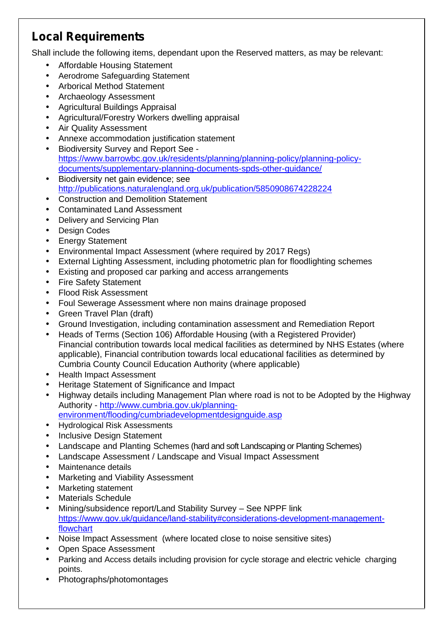# **Local Requirements**

Shall include the following items, dependant upon the Reserved matters, as may be relevant:

- Affordable Housing Statement
- Aerodrome Safeguarding Statement
- Arborical Method Statement
- Archaeology Assessment
- Agricultural Buildings Appraisal
- Agricultural/Forestry Workers dwelling appraisal
- Air Quality Assessment
- Annexe accommodation justification statement
- Biodiversity Survey and Report See https://www.barrowbc.gov.uk/residents/planning/planning-policy/planning-policy documents/supplementary-planning-documents-spds-other-guidance/
- Biodiversity net gain evidence; see http://publications.naturalengland.org.uk/publication/5850908674228224
- Construction and Demolition Statement
- Contaminated Land Assessment
- Delivery and Servicing Plan
- Design Codes
- Energy Statement
- Environmental Impact Assessment (where required by 2017 Regs)
- External Lighting Assessment, including photometric plan for floodlighting schemes
- Existing and proposed car parking and access arrangements
- Fire Safety Statement
- Flood Risk Assessment
- Foul Sewerage Assessment where non mains drainage proposed
- Green Travel Plan (draft)
- Ground Investigation, including contamination assessment and Remediation Report
- Heads of Terms (Section 106) Affordable Housing (with a Registered Provider) Financial contribution towards local medical facilities as determined by NHS Estates (where applicable), Financial contribution towards local educational facilities as determined by Cumbria County Council Education Authority (where applicable)
- Health Impact Assessment
- Heritage Statement of Significance and Impact
- Highway details including Management Plan where road is not to be Adopted by the Highway Authority - http://www.cumbria.gov.uk/planning-
- environment/flooding/cumbriadevelopmentdesignguide.asp
- Hydrological Risk Assessments
- Inclusive Design Statement
- Landscape and Planting Schemes (hard and soft Landscaping or Planting Schemes)
- Landscape Assessment / Landscape and Visual Impact Assessment
- Maintenance details
- Marketing and Viability Assessment
- Marketing statement
- Materials Schedule
- Mining/subsidence report/Land Stability Survey See NPPF link https://www.gov.uk/guidance/land-stability#considerations-development-managementflowchart
- Noise Impact Assessment (where located close to noise sensitive sites)
- Open Space Assessment
- Parking and Access details including provision for cycle storage and electric vehicle charging points.
- Photographs/photomontages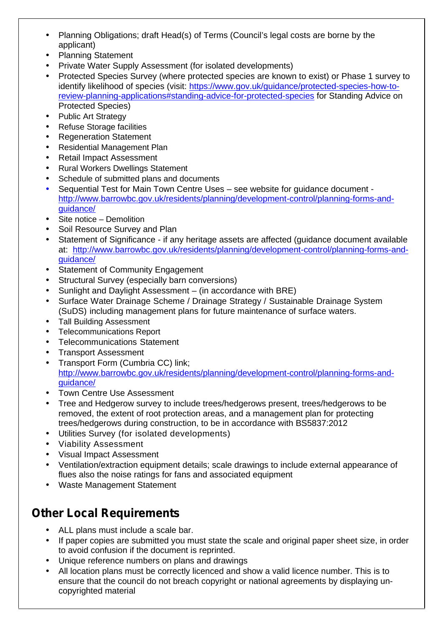- Planning Obligations; draft Head(s) of Terms (Council's legal costs are borne by the applicant)
- Planning Statement
- Private Water Supply Assessment (for isolated developments)
- Protected Species Survey (where protected species are known to exist) or Phase 1 survey to identify likelihood of species (visit: https://www.gov.uk/guidance/protected-species-how-toreview-planning-applications#standing-advice-for-protected-species for Standing Advice on Protected Species)
- Public Art Strategy
- Refuse Storage facilities
- Regeneration Statement
- Residential Management Plan
- Retail Impact Assessment
- Rural Workers Dwellings Statement
- Schedule of submitted plans and documents
- Sequential Test for Main Town Centre Uses see website for guidance document http://www.barrowbc.gov.uk/residents/planning/development-control/planning-forms-and guidance/
- Site notice Demolition
- Soil Resource Survey and Plan
- Statement of Significance if any heritage assets are affected (guidance document available at: http://www.barrowbc.gov.uk/residents/planning/development-control/planning-forms-and guidance/
- Statement of Community Engagement
- Structural Survey (especially barn conversions)
- Sunlight and Daylight Assessment (in accordance with BRE)
- Surface Water Drainage Scheme / Drainage Strategy / Sustainable Drainage System (SuDS) including management plans for future maintenance of surface waters.
- Tall Building Assessment
- Telecommunications Report
- Telecommunications Statement
- Transport Assessment
- Transport Form (Cumbria CC) link;

http://www.barrowbc.gov.uk/residents/planning/development-control/planning-forms-and guidance/

- Town Centre Use Assessment
- Tree and Hedgerow survey to include trees/hedgerows present, trees/hedgerows to be removed, the extent of root protection areas, and a management plan for protecting trees/hedgerows during construction, to be in accordance with BS5837:2012
- Utilities Survey (for isolated developments)
- Viability Assessment
- Visual Impact Assessment
- Ventilation/extraction equipment details; scale drawings to include external appearance of flues also the noise ratings for fans and associated equipment
- Waste Management Statement

### **Other Local Requirements**

- ALL plans must include a scale bar.
- If paper copies are submitted you must state the scale and original paper sheet size, in order to avoid confusion if the document is reprinted.
- Unique reference numbers on plans and drawings
- All location plans must be correctly licenced and show a valid licence number. This is to ensure that the council do not breach copyright or national agreements by displaying un copyrighted material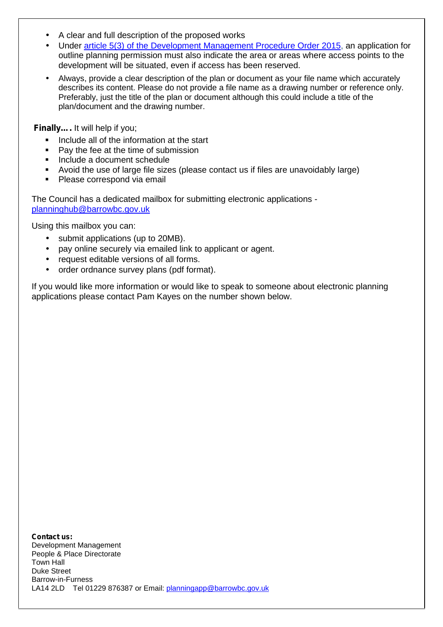- A clear and full description of the proposed works
- Under article 5(3) of the Development Management Procedure Order 2015, an application for outline planning permission must also indicate the area or areas where access points to the development will be situated, even if access has been reserved.
- Always, provide a clear description of the plan or document as your file name which accurately describes its content. Please do not provide a file name as a drawing number or reference only. Preferably, just the title of the plan or document although this could include a title of the plan/document and the drawing number.

**Finally….** It will help if you;

- Include all of the information at the start
- Pay the fee at the time of submission
- Include a document schedule
- Avoid the use of large file sizes (please contact us if files are unavoidably large)
- Please correspond via email

The Council has a dedicated mailbox for submitting electronic applications planninghub@barrowbc.gov.uk

Using this mailbox you can:

- submit applications (up to 20MB).
- pay online securely via emailed link to applicant or agent.
- request editable versions of all forms.
- order ordnance survey plans (pdf format).

If you would like more information or would like to speak to someone about electronic planning applications please contact Pam Kayes on the number shown below.

**Contact us:** Development Management People & Place Directorate Town Hall Duke Street Barrow-in-Furness LA14 2LD Tel 01229 876387 or Email: planningapp@barrowbc.gov.uk